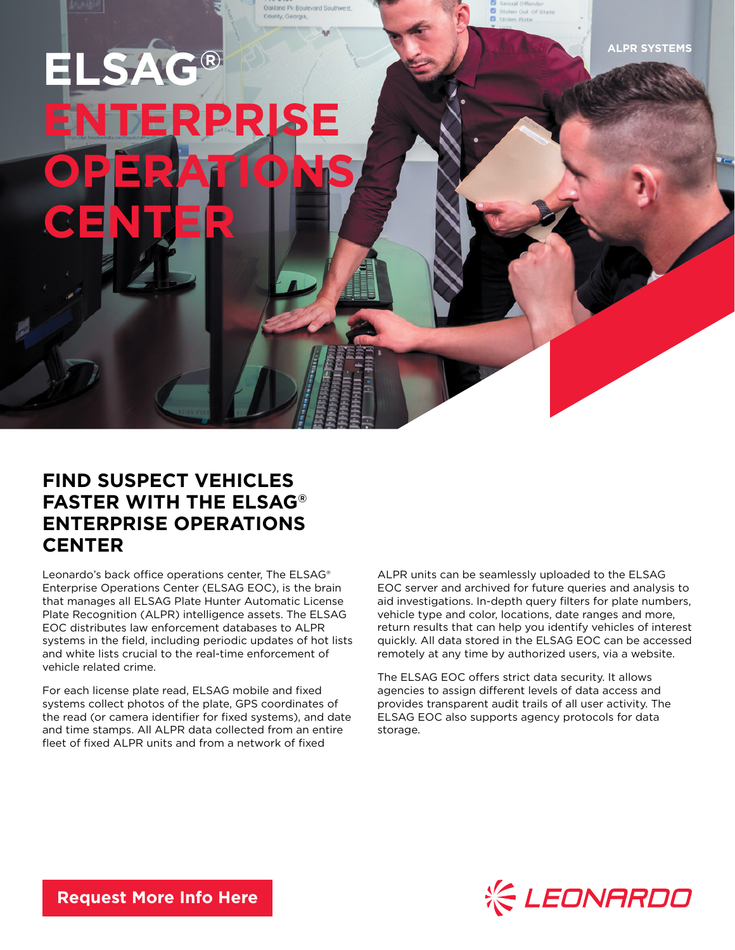**ALPR SYSTEMS**

## **ELSAG®** PRISE **OPERATIONS CENTER**

## **FIND SUSPECT VEHICLES FASTER WITH THE ELSAG® ENTERPRISE OPERATIONS CENTER**

Leonardo's back office operations center, The ELSAG® Enterprise Operations Center (ELSAG EOC), is the brain that manages all ELSAG Plate Hunter Automatic License Plate Recognition (ALPR) intelligence assets. The ELSAG EOC distributes law enforcement databases to ALPR systems in the field, including periodic updates of hot lists and white lists crucial to the real-time enforcement of vehicle related crime.

For each license plate read, ELSAG mobile and fixed systems collect photos of the plate, GPS coordinates of the read (or camera identifier for fixed systems), and date and time stamps. All ALPR data collected from an entire fleet of fixed ALPR units and from a network of fixed

ALPR units can be seamlessly uploaded to the ELSAG EOC server and archived for future queries and analysis to aid investigations. In-depth query filters for plate numbers, vehicle type and color, locations, date ranges and more, return results that can help you identify vehicles of interest quickly. All data stored in the ELSAG EOC can be accessed remotely at any time by authorized users, via a website.

The ELSAG EOC offers strict data security. It allows agencies to assign different levels of data access and provides transparent audit trails of all user activity. The ELSAG EOC also supports agency protocols for data storage.



**[Request More Info Here](https://www.leonardocompany-us.com/lpr/qr_info_request)**